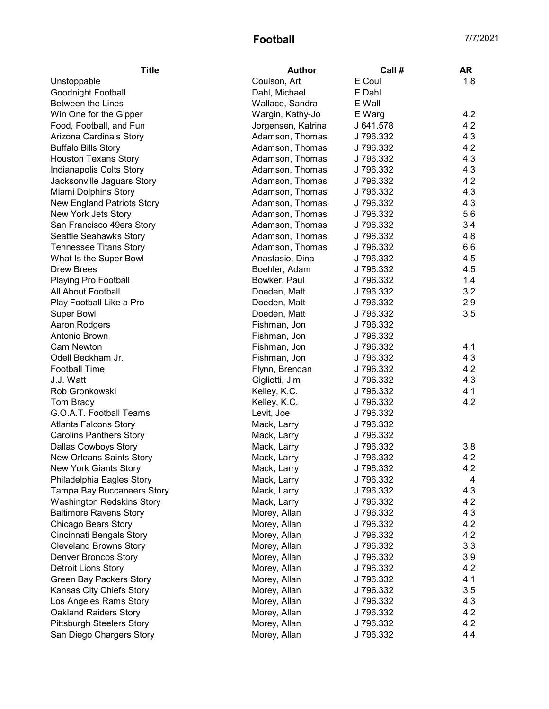## Football 7/7/2021

| <b>Title</b>                      | <b>Author</b>      | Call #    | AR  |
|-----------------------------------|--------------------|-----------|-----|
| Unstoppable                       | Coulson, Art       | E Coul    | 1.8 |
| Goodnight Football                | Dahl, Michael      | E Dahl    |     |
| <b>Between the Lines</b>          | Wallace, Sandra    | E Wall    |     |
| Win One for the Gipper            | Wargin, Kathy-Jo   | E Warg    | 4.2 |
| Food, Football, and Fun           | Jorgensen, Katrina | J 641.578 | 4.2 |
| Arizona Cardinals Story           | Adamson, Thomas    | J 796.332 | 4.3 |
| <b>Buffalo Bills Story</b>        | Adamson, Thomas    | J 796.332 | 4.2 |
| <b>Houston Texans Story</b>       | Adamson, Thomas    | J 796.332 | 4.3 |
| Indianapolis Colts Story          | Adamson, Thomas    | J 796.332 | 4.3 |
| Jacksonville Jaguars Story        | Adamson, Thomas    | J 796.332 | 4.2 |
| Miami Dolphins Story              | Adamson, Thomas    | J 796.332 | 4.3 |
| <b>New England Patriots Story</b> | Adamson, Thomas    | J 796.332 | 4.3 |
| New York Jets Story               | Adamson, Thomas    | J 796.332 | 5.6 |
| San Francisco 49ers Story         | Adamson, Thomas    | J 796.332 | 3.4 |
| Seattle Seahawks Story            | Adamson, Thomas    | J 796.332 | 4.8 |
| <b>Tennessee Titans Story</b>     | Adamson, Thomas    | J 796.332 | 6.6 |
| What Is the Super Bowl            | Anastasio, Dina    | J 796.332 | 4.5 |
| <b>Drew Brees</b>                 | Boehler, Adam      | J 796.332 | 4.5 |
| Playing Pro Football              | Bowker, Paul       | J 796.332 | 1.4 |
| All About Football                | Doeden, Matt       | J 796.332 | 3.2 |
| Play Football Like a Pro          | Doeden, Matt       | J 796.332 | 2.9 |
| <b>Super Bowl</b>                 | Doeden, Matt       | J 796.332 | 3.5 |
| Aaron Rodgers                     | Fishman, Jon       | J 796.332 |     |
| Antonio Brown                     | Fishman, Jon       | J 796.332 |     |
| <b>Cam Newton</b>                 | Fishman, Jon       | J 796.332 | 4.1 |
| Odell Beckham Jr.                 | Fishman, Jon       | J 796.332 | 4.3 |
| <b>Football Time</b>              | Flynn, Brendan     | J 796.332 | 4.2 |
| J.J. Watt                         | Gigliotti, Jim     | J 796.332 | 4.3 |
| Rob Gronkowski                    | Kelley, K.C.       | J 796.332 | 4.1 |
| Tom Brady                         | Kelley, K.C.       | J 796.332 | 4.2 |
| G.O.A.T. Football Teams           | Levit, Joe         | J 796.332 |     |
| <b>Atlanta Falcons Story</b>      | Mack, Larry        | J 796.332 |     |
| <b>Carolins Panthers Story</b>    | Mack, Larry        | J 796.332 |     |
| Dallas Cowboys Story              | Mack, Larry        | J 796.332 | 3.8 |
| New Orleans Saints Story          | Mack, Larry        | J 796.332 | 4.2 |
| New York Giants Story             | Mack, Larry        | J 796.332 | 4.2 |
| Philadelphia Eagles Story         | Mack, Larry        | J 796.332 | 4   |
| Tampa Bay Buccaneers Story        | Mack, Larry        | J 796.332 | 4.3 |
| <b>Washington Redskins Story</b>  | Mack, Larry        | J 796.332 | 4.2 |
| <b>Baltimore Ravens Story</b>     | Morey, Allan       | J 796.332 | 4.3 |
| Chicago Bears Story               | Morey, Allan       | J 796.332 | 4.2 |
| Cincinnati Bengals Story          | Morey, Allan       | J 796.332 | 4.2 |
| <b>Cleveland Browns Story</b>     | Morey, Allan       | J 796.332 | 3.3 |
| <b>Denver Broncos Story</b>       | Morey, Allan       | J 796.332 | 3.9 |
| Detroit Lions Story               | Morey, Allan       | J 796.332 | 4.2 |
| <b>Green Bay Packers Story</b>    | Morey, Allan       | J 796.332 | 4.1 |
| Kansas City Chiefs Story          | Morey, Allan       | J 796.332 | 3.5 |
| Los Angeles Rams Story            | Morey, Allan       | J 796.332 | 4.3 |
| <b>Oakland Raiders Story</b>      | Morey, Allan       | J 796.332 | 4.2 |
| Pittsburgh Steelers Story         | Morey, Allan       | J 796.332 | 4.2 |
| San Diego Chargers Story          | Morey, Allan       | J 796.332 | 4.4 |